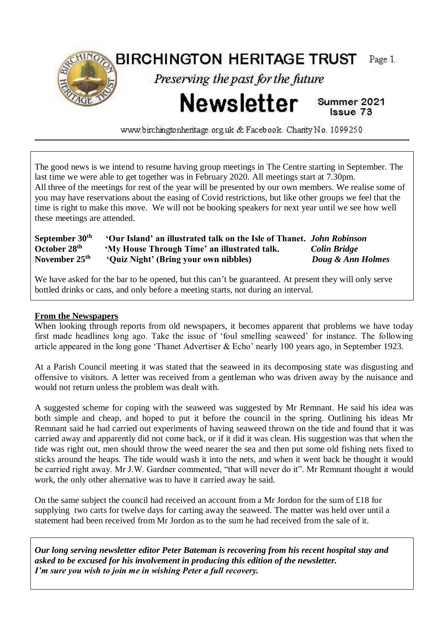

www.birchingtonheritage.org.uk & Facebook. Charity No. 1099250.

The good news is we intend to resume having group meetings in The Centre starting in September. The last time we were able to get together was in February 2020. All meetings start at 7.30pm. All three of the meetings for rest of the year will be presented by our own members. We realise some of you may have reservations about the easing of Covid restrictions, but like other groups we feel that the time is right to make this move. We will not be booking speakers for next year until we see how well these meetings are attended.

**September 30th 'Our Island' an illustrated talk on the Isle of Thanet.** *John Robinson* **October 28th 'My House Through Time' an illustrated talk.** *Colin Bridge* **November 25th 'Quiz Night' (Bring your own nibbles)** *Doug & Ann Holmes*

We have asked for the bar to be opened, but this can't be guaranteed. At present they will only serve bottled drinks or cans, and only before a meeting starts, not during an interval.

## **From the Newspapers**

When looking through reports from old newspapers, it becomes apparent that problems we have today first made headlines long ago. Take the issue of 'foul smelling seaweed' for instance. The following article appeared in the long gone 'Thanet Advertiser & Echo' nearly 100 years ago, in September 1923.

At a Parish Council meeting it was stated that the seaweed in its decomposing state was disgusting and offensive to visitors. A letter was received from a gentleman who was driven away by the nuisance and would not return unless the problem was dealt with.

A suggested scheme for coping with the seaweed was suggested by Mr Remnant. He said his idea was both simple and cheap, and hoped to put it before the council in the spring. Outlining his ideas Mr Remnant said he had carried out experiments of having seaweed thrown on the tide and found that it was carried away and apparently did not come back, or if it did it was clean. His suggestion was that when the tide was right out, men should throw the weed nearer the sea and then put some old fishing nets fixed to sticks around the heaps. The tide would wash it into the nets, and when it went back he thought it would be carried right away. Mr J.W. Gardner commented, "that will never do it". Mr Remnant thought it would work, the only other alternative was to have it carried away he said.

On the same subject the council had received an account from a Mr Jordon for the sum of £18 for supplying two carts for twelve days for carting away the seaweed. The matter was held over until a statement had been received from Mr Jordon as to the sum he had received from the sale of it.

*Our long serving newsletter editor Peter Bateman is recovering from his recent hospital stay and asked to be excused for his involvement in producing this edition of the newsletter. I'm sure you wish to join me in wishing Peter a full recovery.*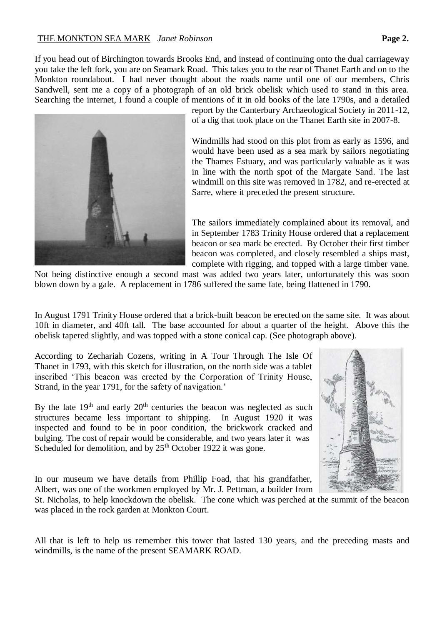If you head out of Birchington towards Brooks End, and instead of continuing onto the dual carriageway you take the left fork, you are on Seamark Road. This takes you to the rear of Thanet Earth and on to the Monkton roundabout. I had never thought about the roads name until one of our members, Chris Sandwell, sent me a copy of a photograph of an old brick obelisk which used to stand in this area. Searching the internet, I found a couple of mentions of it in old books of the late 1790s, and a detailed



report by the Canterbury Archaeological Society in 2011-12, of a dig that took place on the Thanet Earth site in 2007-8.

Windmills had stood on this plot from as early as 1596, and would have been used as a sea mark by sailors negotiating the Thames Estuary, and was particularly valuable as it was in line with the north spot of the Margate Sand. The last windmill on this site was removed in 1782, and re-erected at Sarre, where it preceded the present structure.

The sailors immediately complained about its removal, and in September 1783 Trinity House ordered that a replacement beacon or sea mark be erected. By October their first timber beacon was completed, and closely resembled a ships mast, complete with rigging, and topped with a large timber vane.

Not being distinctive enough a second mast was added two years later, unfortunately this was soon blown down by a gale. A replacement in 1786 suffered the same fate, being flattened in 1790.

In August 1791 Trinity House ordered that a brick-built beacon be erected on the same site. It was about 10ft in diameter, and 40ft tall. The base accounted for about a quarter of the height. Above this the obelisk tapered slightly, and was topped with a stone conical cap. (See photograph above).

According to Zechariah Cozens, writing in A Tour Through The Isle Of Thanet in 1793, with this sketch for illustration, on the north side was a tablet inscribed 'This beacon was erected by the Corporation of Trinity House, Strand, in the year 1791, for the safety of navigation.'

By the late  $19<sup>th</sup>$  and early  $20<sup>th</sup>$  centuries the beacon was neglected as such structures became less important to shipping. In August 1920 it was inspected and found to be in poor condition, the brickwork cracked and bulging. The cost of repair would be considerable, and two years later it was Scheduled for demolition, and by  $25<sup>th</sup>$  October 1922 it was gone.



In our museum we have details from Phillip Foad, that his grandfather, Albert, was one of the workmen employed by Mr. J. Pettman, a builder from

St. Nicholas, to help knockdown the obelisk. The cone which was perched at the summit of the beacon was placed in the rock garden at Monkton Court.

All that is left to help us remember this tower that lasted 130 years, and the preceding masts and windmills, is the name of the present SEAMARK ROAD.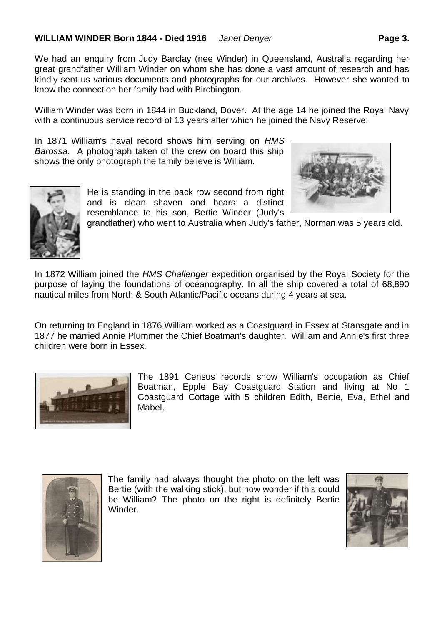We had an enquiry from Judy Barclay (nee Winder) in Queensland, Australia regarding her great grandfather William Winder on whom she has done a vast amount of research and has kindly sent us various documents and photographs for our archives. However she wanted to know the connection her family had with Birchington.

William Winder was born in 1844 in Buckland, Dover. At the age 14 he joined the Royal Navy with a continuous service record of 13 years after which he joined the Navy Reserve.

In 1871 William's naval record shows him serving on *HMS Barossa.* A photograph taken of the crew on board this ship shows the only photograph the family believe is William.



He is standing in the back row second from right and is clean shaven and bears a distinct resemblance to his son, Bertie Winder (Judy's

grandfather) who went to Australia when Judy's father, Norman was 5 years old.

In 1872 William joined the *HMS Challenger* expedition organised by the Royal Society for the purpose of laying the foundations of oceanography. In all the ship covered a total of 68,890 nautical miles from North & South Atlantic/Pacific oceans during 4 years at sea.

On returning to England in 1876 William worked as a Coastguard in Essex at Stansgate and in 1877 he married Annie Plummer the Chief Boatman's daughter. William and Annie's first three children were born in Essex.



The 1891 Census records show William's occupation as Chief Boatman, Epple Bay Coastguard Station and living at No 1 Coastguard Cottage with 5 children Edith, Bertie, Eva, Ethel and Mabel.



The family had always thought the photo on the left was Bertie (with the walking stick), but now wonder if this could be William? The photo on the right is definitely Bertie Winder.